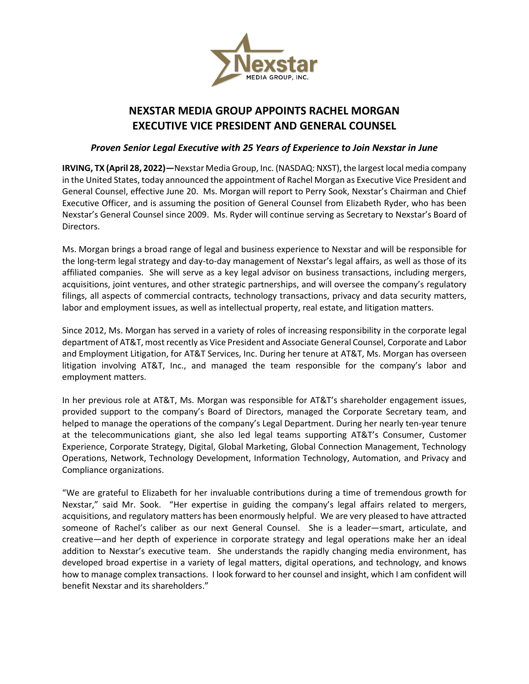

# **NEXSTAR MEDIA GROUP APPOINTS RACHEL MORGAN EXECUTIVE VICE PRESIDENT AND GENERAL COUNSEL**

## *Proven Senior Legal Executive with 25 Years of Experience to Join Nexstar in June*

**IRVING, TX (April 28, 2022)—**Nexstar Media Group, Inc. (NASDAQ: NXST), the largest local media company in the United States, today announced the appointment of Rachel Morgan as Executive Vice President and General Counsel, effective June 20. Ms. Morgan will report to Perry Sook, Nexstar's Chairman and Chief Executive Officer, and is assuming the position of General Counsel from Elizabeth Ryder, who has been Nexstar's General Counsel since 2009. Ms. Ryder will continue serving as Secretary to Nexstar's Board of Directors.

Ms. Morgan brings a broad range of legal and business experience to Nexstar and will be responsible for the long-term legal strategy and day-to-day management of Nexstar's legal affairs, as well as those of its affiliated companies. She will serve as a key legal advisor on business transactions, including mergers, acquisitions, joint ventures, and other strategic partnerships, and will oversee the company's regulatory filings, all aspects of commercial contracts, technology transactions, privacy and data security matters, labor and employment issues, as well as intellectual property, real estate, and litigation matters.

Since 2012, Ms. Morgan has served in a variety of roles of increasing responsibility in the corporate legal department of AT&T, most recently as Vice President and Associate General Counsel, Corporate and Labor and Employment Litigation, for AT&T Services, Inc. During her tenure at AT&T, Ms. Morgan has overseen litigation involving AT&T, Inc., and managed the team responsible for the company's labor and employment matters.

In her previous role at AT&T, Ms. Morgan was responsible for AT&T's shareholder engagement issues, provided support to the company's Board of Directors, managed the Corporate Secretary team, and helped to manage the operations of the company's Legal Department. During her nearly ten-year tenure at the telecommunications giant, she also led legal teams supporting AT&T's Consumer, Customer Experience, Corporate Strategy, Digital, Global Marketing, Global Connection Management, Technology Operations, Network, Technology Development, Information Technology, Automation, and Privacy and Compliance organizations.

"We are grateful to Elizabeth for her invaluable contributions during a time of tremendous growth for Nexstar," said Mr. Sook. "Her expertise in guiding the company's legal affairs related to mergers, acquisitions, and regulatory matters has been enormously helpful. We are very pleased to have attracted someone of Rachel's caliber as our next General Counsel. She is a leader—smart, articulate, and creative—and her depth of experience in corporate strategy and legal operations make her an ideal addition to Nexstar's executive team. She understands the rapidly changing media environment, has developed broad expertise in a variety of legal matters, digital operations, and technology, and knows how to manage complex transactions. I look forward to her counsel and insight, which I am confident will benefit Nexstar and its shareholders."